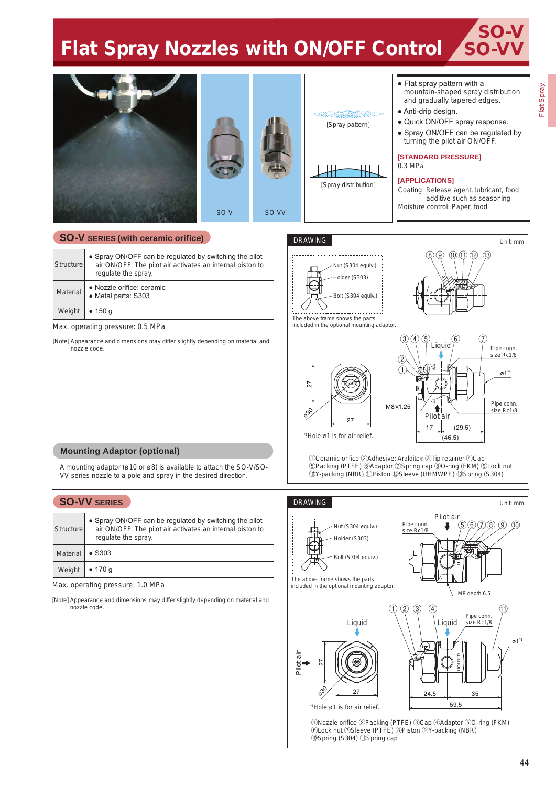# **Flat Spray Nozzles with ON/OFF Control SO-VV**



## **SO-V SERIES (with ceramic orifice)**

| Structure | • Spray ON/OFF can be regulated by switching the pilot<br>air ON/OFF. The pilot air activates an internal piston to<br>regulate the spray. |
|-----------|--------------------------------------------------------------------------------------------------------------------------------------------|
| Material  | • Nozzle orifice: ceramic<br>• Metal parts: S303                                                                                           |
| Weight    | • 150 g                                                                                                                                    |

Max. operating pressure: 0.5 MPa

[Note] Appearance and dimensions may differ slightly depending on material and nozzle code.





The above frame shows the parts included in the optional mounting adaptor.





⑧⑨ ⑩⑪ ⑫ ⑬

①Ceramic orifice ②Adhesive: Araldite® ③Tip retainer ④Cap ⑤Packing (PTFE) ⑥Adaptor ⑦Spring cap ⑧O-ring (FKM) ⑨Lock nut ⑩Y-packing (NBR) ⑪Piston ⑫Sleeve (UHMWPE) ⑬Spring (S304)

#### **Mounting Adaptor (optional)**

A mounting adaptor (ø10 or ø8) is available to attach the SO-V/SO-VV series nozzle to a pole and spray in the desired direction.

### **SO-VV SERIES**

| Structure       | • Spray ON/OFF can be regulated by switching the pilot<br>air ON/OFF. The pilot air activates an internal piston to<br>regulate the spray. |
|-----------------|--------------------------------------------------------------------------------------------------------------------------------------------|
| <b>Material</b> | $\bullet$ S303                                                                                                                             |
| Weight          | • 170 g                                                                                                                                    |

Max. operating pressure: 1.0 MPa

[Note] Appearance and dimensions may differ slightly depending on material and nozzle code.

#### DRAWING



①Nozzle orifice ②Packing (PTFE) ③Cap ④Adaptor ⑤O-ring (FKM) ⑥Lock nut ⑦Sleeve (PTFE) ⑧Piston ⑨Y-packing (NBR) ⑩Spring (S304) ⑪Spring cap

SO-V

Unit: mm

Unit: mm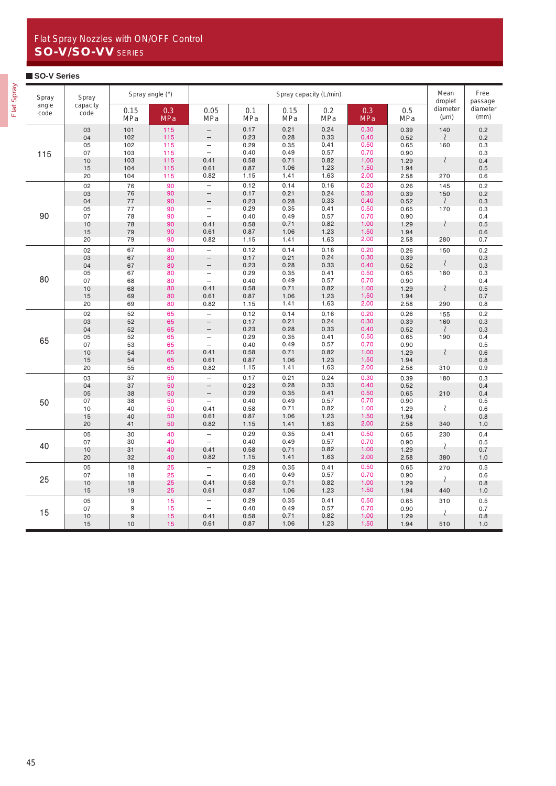# Flat Spray Nozzles with ON/OFF Control SO-V/SO-VV SERIES

#### **SO-V Series**

| ౚ      |
|--------|
|        |
| ú      |
| ٠<br>ౚ |
|        |

| Spray<br>Spray |                  |                    | Spray angle (°) | Spray capacity (L/min)                     |                   |              |                   |              |                   |                                  | Free<br>passage  |
|----------------|------------------|--------------------|-----------------|--------------------------------------------|-------------------|--------------|-------------------|--------------|-------------------|----------------------------------|------------------|
| angle<br>code  | capacity<br>code | 0.15<br><b>MPa</b> | 0.3<br>MPa      | 0.05<br>MPa                                | 0.1<br><b>MPa</b> | 0.15<br>MPa  | 0.2<br><b>MPa</b> | 0.3<br>MPa   | 0.5<br><b>MPa</b> | droplet<br>diameter<br>$(\mu m)$ | diameter<br>(mm) |
|                | 03               | 101                | 115             | $\qquad \qquad -$                          | 0.17              | 0.21         | 0.24              | 0.30         | 0.39              | 140                              | 0.2              |
|                | 04               | 102<br>102         | 115<br>115      | $\overline{\phantom{m}}$                   | 0.23<br>0.29      | 0.28<br>0.35 | 0.33<br>0.41      | 0.40<br>0.50 | 0.52              | $\mathcal{E}$                    | 0.2              |
|                | 05<br>07         | 103                | 115             | $\qquad \qquad -$<br>$\equiv$              | 0.40              | 0.49         | 0.57              | 0.70         | 0.65<br>0.90      | 160                              | 0.3<br>0.3       |
| 115            | 10               | 103                | 115             | 0.41                                       | 0.58              | 0.71         | 0.82              | 1.00         | 1.29              | $\langle$                        | 0.4              |
|                | 15               | 104                | 115             | 0.61                                       | 0.87              | 1.06         | 1.23              | 1.50         | 1.94              |                                  | 0.5              |
|                | 20               | 104                | 115             | 0.82                                       | 1.15              | 1.41         | 1.63              | 2.00         | 2.58              | 270                              | 0.6              |
|                | 02               | 76                 | 90              | $\equiv$                                   | 0.12              | 0.14         | 0.16              | 0.20         | 0.26              | 145                              | 0.2              |
|                | 03               | 76                 | 90              | $\overline{\phantom{0}}$                   | 0.17              | 0.21         | 0.24              | 0.30         | 0.39              | 150                              | 0.2              |
|                | 04               | 77                 | 90              | $\qquad \qquad -$                          | 0.23              | 0.28         | 0.33              | 0.40         | 0.52              | $\mathcal{S}_{\mathcal{S}}$      | 0.3              |
|                | 05               | 77                 | 90              |                                            | 0.29              | 0.35         | 0.41              | 0.50         | 0.65              | 170                              | 0.3              |
| 90             | 07               | 78                 | 90              | $\overline{\phantom{0}}$                   | 0.40              | 0.49         | 0.57              | 0.70         | 0.90              |                                  | 0.4              |
|                | 10               | 78                 | 90              | 0.41                                       | 0.58              | 0.71         | 0.82              | 1.00         | 1.29              | $\langle$                        | 0.5              |
|                | 15               | 79                 | 90              | 0.61                                       | 0.87              | 1.06         | 1.23              | 1.50         | 1.94              |                                  | 0.6              |
|                | 20               | 79                 | 90              | 0.82                                       | 1.15              | 1.41         | 1.63              | 2.00         | 2.58              | 280                              | 0.7              |
|                | 02               | 67                 | 80              | $\overline{\phantom{0}}$                   | 0.12              | 0.14         | 0.16              | 0.20         | 0.26              | 150                              | 0.2              |
|                | 03               | 67                 | 80              | $\qquad \qquad -$                          | 0.17              | 0.21         | 0.24              | 0.30         | 0.39              | $\mathcal{S}_{\mathcal{S}}$      | 0.3              |
|                | 04               | 67                 | 80              | $\qquad \qquad -$                          | 0.23              | 0.28         | 0.33              | 0.40         | 0.52              |                                  | 0.3              |
| 80             | 05               | 67                 | 80              | $\overline{\phantom{0}}$<br>$\overline{a}$ | 0.29              | 0.35         | 0.41              | 0.50         | 0.65              | 180                              | 0.3              |
|                | 07               | 68                 | 80              |                                            | 0.40              | 0.49         | 0.57<br>0.82      | 0.70<br>1.00 | 0.90              |                                  | 0.4              |
|                | 10<br>15         | 68<br>69           | 80<br>80        | 0.41<br>0.61                               | 0.58<br>0.87      | 0.71<br>1.06 | 1.23              | 1.50         | 1.29<br>1.94      | ₹                                | 0.5<br>0.7       |
|                | 20               | 69                 | 80              | 0.82                                       | 1.15              | 1.41         | 1.63              | 2.00         | 2.58              | 290                              | 0.8              |
|                |                  |                    |                 |                                            |                   |              |                   |              |                   |                                  |                  |
|                | 02               | 52                 | 65              | $\equiv$                                   | 0.12<br>0.17      | 0.14<br>0.21 | 0.16<br>0.24      | 0.20<br>0.30 | 0.26              | 155                              | 0.2              |
|                | 03<br>04         | 52<br>52           | 65<br>65        | $\qquad \qquad -$                          | 0.23              | 0.28         | 0.33              | 0.40         | 0.39<br>0.52      | 160<br>$\langle$                 | 0.3<br>0.3       |
|                | 05               | 52                 | 65              | $\qquad \qquad -$                          | 0.29              | 0.35         | 0.41              | 0.50         | 0.65              | 190                              | 0.4              |
| 65             | 07               | 53                 | 65              | $\equiv$                                   | 0.40              | 0.49         | 0.57              | 0.70         | 0.90              |                                  | 0.5              |
|                | 10               | 54                 | 65              | 0.41                                       | 0.58              | 0.71         | 0.82              | 1.00         | 1.29              | $\langle$                        | 0.6              |
|                | 15               | 54                 | 65              | 0.61                                       | 0.87              | 1.06         | 1.23              | 1.50         | 1.94              |                                  | 0.8              |
|                | 20               | 55                 | 65              | 0.82                                       | 1.15              | 1.41         | 1.63              | 2.00         | 2.58              | 310                              | 0.9              |
|                | 03               | 37                 | 50              | $\overline{\phantom{0}}$                   | 0.17              | 0.21         | 0.24              | 0.30         | 0.39              | 180                              | 0.3              |
|                | 04               | 37                 | 50              | $\overline{\phantom{0}}$                   | 0.23              | 0.28         | 0.33              | 0.40         | 0.52              |                                  | 0.4              |
|                | 05               | 38                 | 50              | -                                          | 0.29              | 0.35         | 0.41              | 0.50         | 0.65              | 210                              | 0.4              |
| 50             | 07               | 38                 | 50              |                                            | 0.40              | 0.49         | 0.57              | 0.70         | 0.90              |                                  | 0.5              |
|                | 10               | 40                 | 50              | 0.41                                       | 0.58              | 0.71         | 0.82              | 1.00         | 1.29              | $\wr$                            | 0.6              |
|                | 15               | 40                 | 50              | 0.61                                       | 0.87              | 1.06         | 1.23              | 1.50         | 1.94              |                                  | 0.8              |
|                | 20               | 41                 | 50              | 0.82                                       | 1.15              | 1.41         | 1.63              | 2.00         | 2.58              | 340                              | 1.0              |
|                | 05               | 30                 | 40              | $\overline{\phantom{0}}$                   | 0.29              | 0.35         | 0.41              | 0.50         | 0.65              | 230                              | 0.4              |
| 40             | 07               | 30                 | 40              | $\overline{a}$                             | 0.40              | 0.49         | 0.57              | 0.70         | 0.90              | $\langle$                        | 0.5              |
|                | 10               | 31                 | 40              | 0.41                                       | 0.58              | 0.71         | 0.82              | 1.00         | 1.29              |                                  | 0.7              |
|                | 20               | 32                 | 40              | 0.82                                       | 1.15              | 1.41         | 1.63              | 2.00         | 2.58              | 380                              | 1.0              |
|                | 05               | 18                 | 25              | $\overline{\phantom{0}}$                   | 0.29              | 0.35         | 0.41              | 0.50         | 0.65              | 270                              | 0.5              |
| 25             | 07               | 18                 | 25              | $\overline{\phantom{0}}$                   | 0.40              | 0.49         | 0.57              | 0.70         | 0.90              | $\langle$                        | 0.6              |
|                | 10               | 18                 | 25              | 0.41                                       | 0.58              | 0.71         | 0.82              | 1.00         | 1.29              |                                  | 0.8              |
|                | 15               | 19                 | 25              | 0.61                                       | 0.87              | 1.06         | 1.23              | 1.50         | 1.94              | 440                              | 1.0              |
|                | 05               | 9                  | 15              | $\overline{\phantom{0}}$                   | 0.29              | 0.35         | 0.41              | 0.50         | 0.65              | 310                              | 0.5              |
| 15             | 07               | 9                  | 15              | $\overline{a}$                             | 0.40              | 0.49         | 0.57              | 0.70         | 0.90              | $\langle$                        | 0.7              |
|                | 10               | 9                  | 15              | 0.41                                       | 0.58              | 0.71         | 0.82              | 1.00         | 1.29              |                                  | 0.8              |
|                | 15               | 10                 | 15              | 0.61                                       | 0.87              | 1.06         | 1.23              | 1.50         | 1.94              | 510                              | 1.0              |